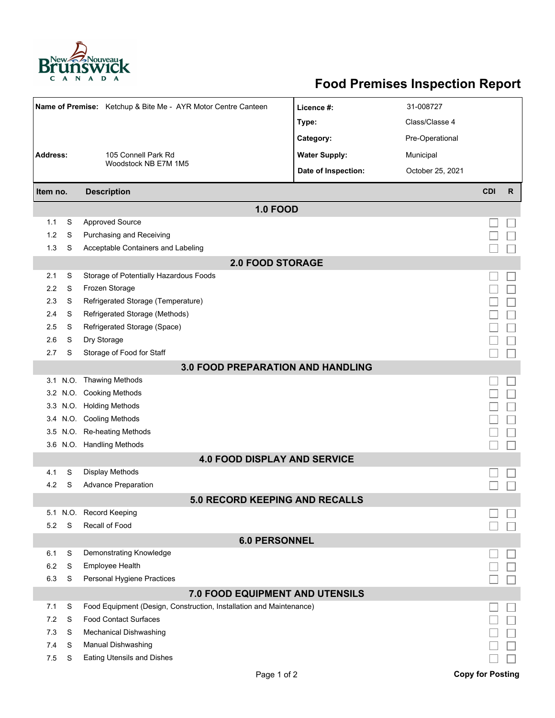

## **Food Premises Inspection Report**

|                                          |          | Name of Premise: Ketchup & Bite Me - AYR Motor Centre Canteen       | Licence #:           | 31-008727        |                         |   |  |  |  |  |  |  |
|------------------------------------------|----------|---------------------------------------------------------------------|----------------------|------------------|-------------------------|---|--|--|--|--|--|--|
|                                          |          |                                                                     | Type:                | Class/Classe 4   |                         |   |  |  |  |  |  |  |
|                                          |          |                                                                     | Category:            | Pre-Operational  |                         |   |  |  |  |  |  |  |
| <b>Address:</b><br>105 Connell Park Rd   |          |                                                                     | <b>Water Supply:</b> | Municipal        |                         |   |  |  |  |  |  |  |
|                                          |          | Woodstock NB E7M 1M5                                                | Date of Inspection:  | October 25, 2021 |                         |   |  |  |  |  |  |  |
|                                          |          |                                                                     |                      |                  | <b>CDI</b>              |   |  |  |  |  |  |  |
| Item no.                                 |          | <b>Description</b>                                                  |                      |                  |                         | R |  |  |  |  |  |  |
|                                          |          | <b>1.0 FOOD</b>                                                     |                      |                  |                         |   |  |  |  |  |  |  |
| 1.1                                      | S        | <b>Approved Source</b>                                              |                      |                  |                         |   |  |  |  |  |  |  |
| 1.2                                      | S        | Purchasing and Receiving                                            |                      |                  |                         |   |  |  |  |  |  |  |
| 1.3                                      | S        | Acceptable Containers and Labeling                                  |                      |                  |                         |   |  |  |  |  |  |  |
| <b>2.0 FOOD STORAGE</b>                  |          |                                                                     |                      |                  |                         |   |  |  |  |  |  |  |
| 2.1                                      | S        | Storage of Potentially Hazardous Foods                              |                      |                  |                         |   |  |  |  |  |  |  |
| 2.2                                      | S        | Frozen Storage                                                      |                      |                  |                         |   |  |  |  |  |  |  |
| 2.3                                      | S        | Refrigerated Storage (Temperature)                                  |                      |                  |                         |   |  |  |  |  |  |  |
| 2.4                                      | S        | Refrigerated Storage (Methods)                                      |                      |                  |                         |   |  |  |  |  |  |  |
| 2.5                                      | S        | Refrigerated Storage (Space)                                        |                      |                  |                         |   |  |  |  |  |  |  |
| 2.6                                      | S        | Dry Storage                                                         |                      |                  |                         |   |  |  |  |  |  |  |
| 2.7                                      | S        | Storage of Food for Staff                                           |                      |                  |                         |   |  |  |  |  |  |  |
| <b>3.0 FOOD PREPARATION AND HANDLING</b> |          |                                                                     |                      |                  |                         |   |  |  |  |  |  |  |
| 3.1                                      |          | N.O. Thawing Methods                                                |                      |                  |                         |   |  |  |  |  |  |  |
|                                          |          | 3.2 N.O. Cooking Methods                                            |                      |                  |                         |   |  |  |  |  |  |  |
|                                          |          | 3.3 N.O. Holding Methods                                            |                      |                  |                         |   |  |  |  |  |  |  |
|                                          |          | 3.4 N.O. Cooling Methods                                            |                      |                  |                         |   |  |  |  |  |  |  |
|                                          |          | 3.5 N.O. Re-heating Methods                                         |                      |                  |                         |   |  |  |  |  |  |  |
|                                          |          | 3.6 N.O. Handling Methods                                           |                      |                  |                         |   |  |  |  |  |  |  |
|                                          |          | <b>4.0 FOOD DISPLAY AND SERVICE</b>                                 |                      |                  |                         |   |  |  |  |  |  |  |
| 4.1                                      | S        | Display Methods                                                     |                      |                  |                         |   |  |  |  |  |  |  |
| 4.2                                      | S        | <b>Advance Preparation</b>                                          |                      |                  |                         |   |  |  |  |  |  |  |
|                                          |          | 5.0 RECORD KEEPING AND RECALLS                                      |                      |                  |                         |   |  |  |  |  |  |  |
|                                          | 5.1 N.O. | <b>Record Keeping</b>                                               |                      |                  |                         |   |  |  |  |  |  |  |
| 5.2                                      | S        | Recall of Food                                                      |                      |                  |                         |   |  |  |  |  |  |  |
|                                          |          | <b>6.0 PERSONNEL</b>                                                |                      |                  |                         |   |  |  |  |  |  |  |
| 6.1                                      | S        | Demonstrating Knowledge                                             |                      |                  |                         |   |  |  |  |  |  |  |
| 6.2                                      | S        | Employee Health                                                     |                      |                  |                         |   |  |  |  |  |  |  |
| 6.3                                      | S        | Personal Hygiene Practices                                          |                      |                  |                         |   |  |  |  |  |  |  |
| 7.0 FOOD EQUIPMENT AND UTENSILS          |          |                                                                     |                      |                  |                         |   |  |  |  |  |  |  |
| 7.1                                      | S        | Food Equipment (Design, Construction, Installation and Maintenance) |                      |                  |                         |   |  |  |  |  |  |  |
| 7.2                                      | S        | <b>Food Contact Surfaces</b>                                        |                      |                  |                         |   |  |  |  |  |  |  |
| 7.3                                      | S        | Mechanical Dishwashing                                              |                      |                  |                         |   |  |  |  |  |  |  |
| 7.4                                      | S        | Manual Dishwashing                                                  |                      |                  |                         |   |  |  |  |  |  |  |
| 7.5                                      | S        | <b>Eating Utensils and Dishes</b>                                   |                      |                  |                         |   |  |  |  |  |  |  |
|                                          |          | Page 1 of 2                                                         |                      |                  | <b>Copy for Posting</b> |   |  |  |  |  |  |  |